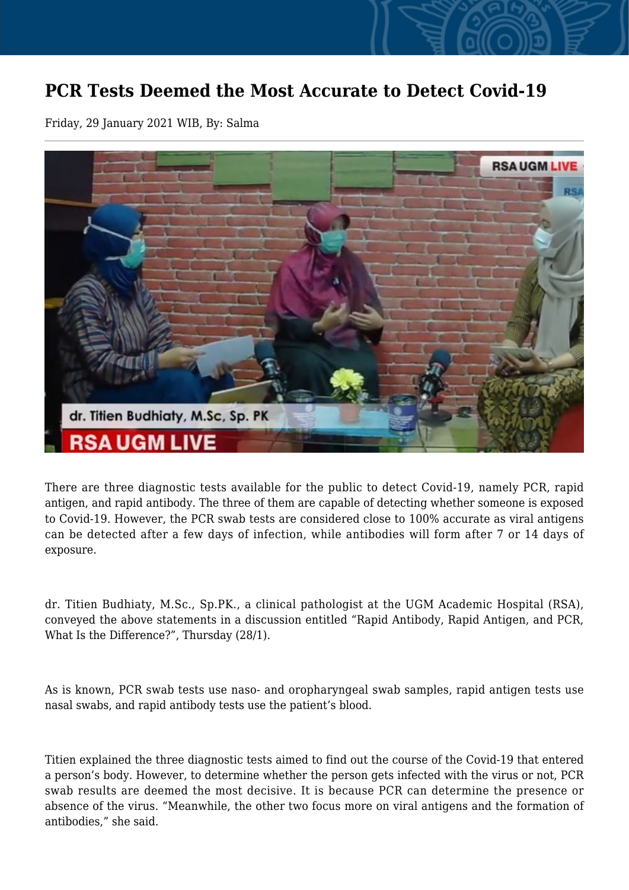## **PCR Tests Deemed the Most Accurate to Detect Covid-19**

Friday, 29 January 2021 WIB, By: Salma



There are three diagnostic tests available for the public to detect Covid-19, namely PCR, rapid antigen, and rapid antibody. The three of them are capable of detecting whether someone is exposed to Covid-19. However, the PCR swab tests are considered close to 100% accurate as viral antigens can be detected after a few days of infection, while antibodies will form after 7 or 14 days of exposure.

dr. Titien Budhiaty, M.Sc., Sp.PK., a clinical pathologist at the UGM Academic Hospital (RSA), conveyed the above statements in a discussion entitled "Rapid Antibody, Rapid Antigen, and PCR, What Is the Difference?", Thursday (28/1).

As is known, PCR swab tests use naso- and oropharyngeal swab samples, rapid antigen tests use nasal swabs, and rapid antibody tests use the patient's blood.

Titien explained the three diagnostic tests aimed to find out the course of the Covid-19 that entered a person's body. However, to determine whether the person gets infected with the virus or not, PCR swab results are deemed the most decisive. It is because PCR can determine the presence or absence of the virus. "Meanwhile, the other two focus more on viral antigens and the formation of antibodies," she said.